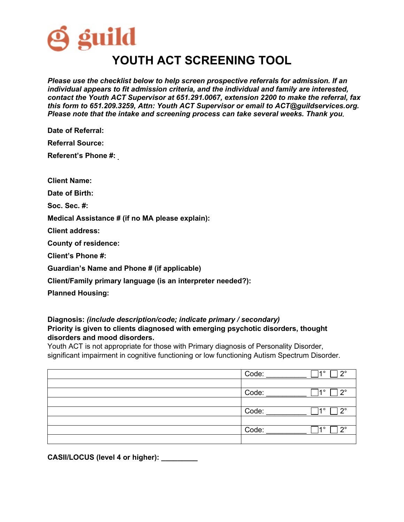

*Please use the checklist below to help screen prospective referrals for admission. If an individual appears to fit admission criteria, and the individual and family are interested, contact the Youth ACT Supervisor at 651.291.0067, extension 2200 to make the referral, fax this form to 651.209.3259, Attn: Youth ACT Supervisor or email to ACT@guildservices.org. Please note that the intake and screening process can take several weeks. Thank you***.**

**Date of Referral:**

**Referral Source:**

**Referent's Phone #:** 

**Client Name:**

**Date of Birth:** 

**Soc. Sec. #:**

**Medical Assistance # (if no MA please explain):** 

**Client address:**

**County of residence:** 

**Client's Phone #:**

**Guardian's Name and Phone # (if applicable)**

**Client/Family primary language (is an interpreter needed?):** 

**Planned Housing:** 

## **Diagnosis:** *(include description/code; indicate primary / secondary)* **Priority is given to clients diagnosed with emerging psychotic disorders, thought disorders and mood disorders.**

Youth ACT is not appropriate for those with Primary diagnosis of Personality Disorder, significant impairment in cognitive functioning or low functioning Autism Spectrum Disorder.

| Code:<br>າ∘<br>$\sim$ |
|-----------------------|
|                       |
| Code:<br>າ∘<br>40     |
|                       |
| Code:<br>າ∘<br>40     |
|                       |
| Code:<br>റ∘<br>40     |
|                       |

**CASII/LOCUS (level 4 or higher): \_\_\_\_\_\_\_\_\_**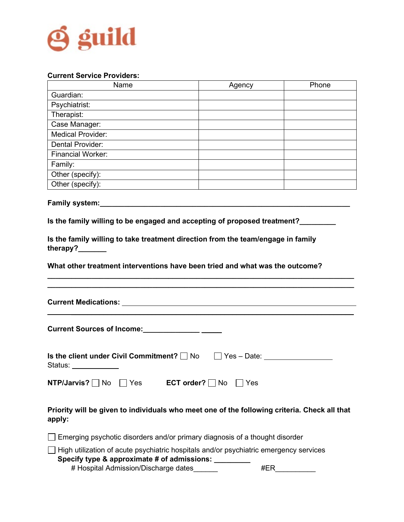

## **Current Service Providers:**

| Name                     | Agency | Phone |
|--------------------------|--------|-------|
| Guardian:                |        |       |
| Psychiatrist:            |        |       |
| Therapist:               |        |       |
| Case Manager:            |        |       |
| <b>Medical Provider:</b> |        |       |
| Dental Provider:         |        |       |
| <b>Financial Worker:</b> |        |       |
| Family:                  |        |       |
| Other (specify):         |        |       |
| Other (specify):         |        |       |

Family system: **Family system:** 

**Is the family willing to be engaged and accepting of proposed treatment?\_\_\_\_\_\_\_\_\_**

**Is the family willing to take treatment direction from the team/engage in family therapy?\_\_\_\_\_\_\_**

**What other treatment interventions have been tried and what was the outcome?** 

**Current Medications:**

| <b>Current Sources of Income:</b>                                                    |  |
|--------------------------------------------------------------------------------------|--|
| <b>Is the client under Civil Commitment?</b> $\Box$ No $\Box$ Yes – Date:<br>Status: |  |

**\_\_\_\_\_\_\_\_\_\_\_\_\_\_\_\_\_\_\_\_\_\_\_\_\_\_\_\_\_\_\_\_\_\_\_\_\_\_\_\_\_\_\_\_\_\_\_\_\_\_\_\_\_\_\_\_\_\_\_\_\_\_\_\_\_\_\_\_\_\_\_\_\_\_\_\_ \_\_\_\_\_\_\_\_\_\_\_\_\_\_\_\_\_\_\_\_\_\_\_\_\_\_\_\_\_\_\_\_\_\_\_\_\_\_\_\_\_\_\_\_\_\_\_\_\_\_\_\_\_\_\_\_\_\_\_\_\_\_\_\_\_\_\_\_\_\_\_\_\_\_\_\_**

 $\mathcal{L}_\mathcal{L} = \mathcal{L}_\mathcal{L} = \mathcal{L}_\mathcal{L} = \mathcal{L}_\mathcal{L} = \mathcal{L}_\mathcal{L} = \mathcal{L}_\mathcal{L} = \mathcal{L}_\mathcal{L} = \mathcal{L}_\mathcal{L} = \mathcal{L}_\mathcal{L} = \mathcal{L}_\mathcal{L} = \mathcal{L}_\mathcal{L} = \mathcal{L}_\mathcal{L} = \mathcal{L}_\mathcal{L} = \mathcal{L}_\mathcal{L} = \mathcal{L}_\mathcal{L} = \mathcal{L}_\mathcal{L} = \mathcal{L}_\mathcal{L}$ 

| NTP/Jarvis? $\Box$ No $\Box$ Yes |  | <b>ECT order?</b> $\Box$ No $\Box$ Yes |  |
|----------------------------------|--|----------------------------------------|--|
|----------------------------------|--|----------------------------------------|--|

**Priority will be given to individuals who meet one of the following criteria. Check all that apply:**

 $\Box$  Emerging psychotic disorders and/or primary diagnosis of a thought disorder  $\Box$  High utilization of acute psychiatric hospitals and/or psychiatric emergency services  **Specify type & approximate # of admissions: \_\_\_\_\_\_\_\_\_**

# Hospital Admission/Discharge dates\_\_\_\_\_\_ #ER\_\_\_\_\_\_\_\_\_\_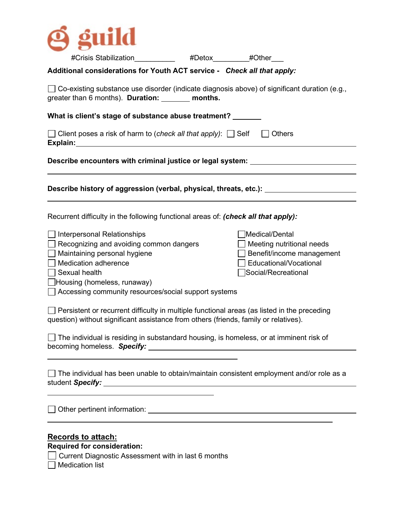

| #Crisis Stabilization_____________ #Detox________#Other___                                                                                                                                                                                                                                                                                                                                                                                                                                                                                                                                              |                                                                                                                                              |
|---------------------------------------------------------------------------------------------------------------------------------------------------------------------------------------------------------------------------------------------------------------------------------------------------------------------------------------------------------------------------------------------------------------------------------------------------------------------------------------------------------------------------------------------------------------------------------------------------------|----------------------------------------------------------------------------------------------------------------------------------------------|
| Additional considerations for Youth ACT service - Check all that apply:                                                                                                                                                                                                                                                                                                                                                                                                                                                                                                                                 |                                                                                                                                              |
| $\Box$ Co-existing substance use disorder (indicate diagnosis above) of significant duration (e.g.,<br>greater than 6 months). Duration: _______ months.                                                                                                                                                                                                                                                                                                                                                                                                                                                |                                                                                                                                              |
| What is client's stage of substance abuse treatment?                                                                                                                                                                                                                                                                                                                                                                                                                                                                                                                                                    |                                                                                                                                              |
| □ Client poses a risk of harm to (check all that apply): □ Self □ Others<br>Explain: The contract of the contract of the contract of the contract of the contract of the contract of the contract of the contract of the contract of the contract of the contract of the contract of the contract of the c                                                                                                                                                                                                                                                                                              |                                                                                                                                              |
|                                                                                                                                                                                                                                                                                                                                                                                                                                                                                                                                                                                                         | Describe encounters with criminal justice or legal system: _____________________                                                             |
|                                                                                                                                                                                                                                                                                                                                                                                                                                                                                                                                                                                                         | Describe history of aggression (verbal, physical, threats, etc.): ______________                                                             |
| Recurrent difficulty in the following functional areas of: (check all that apply):                                                                                                                                                                                                                                                                                                                                                                                                                                                                                                                      |                                                                                                                                              |
| $\Box$ Interpersonal Relationships<br>$\Box$ Recognizing and avoiding common dangers<br>$\Box$ Maintaining personal hygiene<br>$\Box$ Medication adherence<br>$\Box$ Sexual health<br>Housing (homeless, runaway)<br>Accessing community resources/social support systems<br>$\Box$ Persistent or recurrent difficulty in multiple functional areas (as listed in the preceding<br>question) without significant assistance from others (friends, family or relatives).<br>$\Box$ The individual is residing in substandard housing, is homeless, or at imminent risk of<br>becoming homeless. Specify: | $\exists$ Medical/Dental<br>$\Box$ Meeting nutritional needs<br>Benefit/income management<br>□ Educational/Vocational<br>Social/Recreational |
| $\Box$ The individual has been unable to obtain/maintain consistent employment and/or role as a<br>student Specify:                                                                                                                                                                                                                                                                                                                                                                                                                                                                                     |                                                                                                                                              |
| Other pertinent information: <u>contained</u> and the contact of the contact of the contact of the contact of the contact of the contact of the contact of the contact of the contact of the contact of the contact of the contact                                                                                                                                                                                                                                                                                                                                                                      |                                                                                                                                              |
| <b>Records to attach:</b><br><b>Required for consideration:</b><br>Current Diagnostic Assessment with in last 6 months<br><b>Medication list</b>                                                                                                                                                                                                                                                                                                                                                                                                                                                        |                                                                                                                                              |